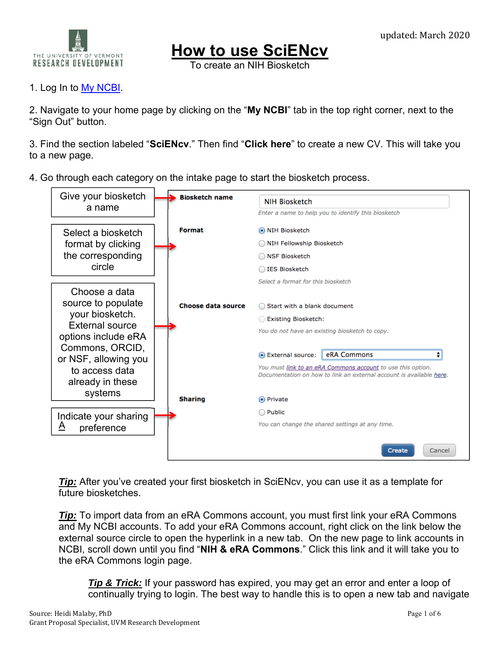

## **How to use SciENcv**

To create an NIH Biosketch

## 1. Log In to My NCBI.

2. Navigate to your home page by clicking on the "**My NCBI**" tab in the top right corner, next to the "Sign Out" button.

3. Find the section labeled "**SciENcv**." Then find "**Click here**" to create a new CV. This will take you to a new page.

4. Go through each category on the intake page to start the biosketch process.



**Tip:** After you've created your first biosketch in SciENcv, you can use it as a template for future biosketches.

**Tip:** To import data from an eRA Commons account, you must first link your eRA Commons and My NCBI accounts. To add your eRA Commons account, right click on the link below the external source circle to open the hyperlink in a new tab. On the new page to link accounts in NCBI, scroll down until you find "**NIH & eRA Commons**." Click this link and it will take you to the eRA Commons login page.

*Tip & Trick:* If your password has expired, you may get an error and enter a loop of continually trying to login. The best way to handle this is to open a new tab and navigate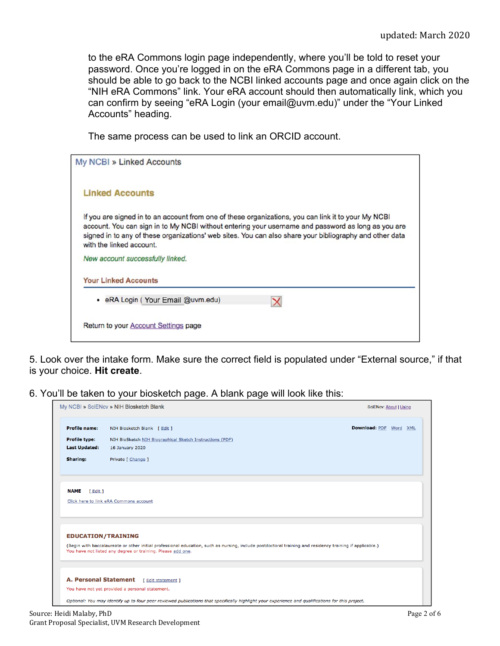to the eRA Commons login page independently, where you'll be told to reset your password. Once you're logged in on the eRA Commons page in a different tab, you should be able to go back to the NCBI linked accounts page and once again click on the "NIH eRA Commons" link. Your eRA account should then automatically link, which you can confirm by seeing "eRA Login (your email@uvm.edu)" under the "Your Linked Accounts" heading.

The same process can be used to link an ORCID account.

5. Look over the intake form. Make sure the correct field is populated under "External source," if that is your choice. **Hit create**.

6. You'll be taken to your biosketch page. A blank page will look like this:

| My NCBI » SciENcv » NIH Biosketch Blank | SciENcv: About   Using                                                                                                                                                                |                        |
|-----------------------------------------|---------------------------------------------------------------------------------------------------------------------------------------------------------------------------------------|------------------------|
| <b>Profile name:</b>                    | NIH Biosketch Blank [ Edit ]                                                                                                                                                          | Download: PDF Word XML |
| <b>Profile type:</b>                    | NIH BioSketch NIH Biographical Sketch Instructions (PDF)                                                                                                                              |                        |
| <b>Last Updated:</b>                    | 16 January 2020                                                                                                                                                                       |                        |
| Sharing:                                | Private [ Change ]                                                                                                                                                                    |                        |
| <b>NAME</b><br>[ Edit ]                 |                                                                                                                                                                                       |                        |
|                                         | Click here to link eRA Commons account                                                                                                                                                |                        |
|                                         | <b>EDUCATION/TRAINING</b><br>(Begin with baccalaureate or other initial professional education, such as nursing, include postdoctoral training and residency training if applicable.) |                        |
|                                         | You have not listed any degree or training. Please add one.                                                                                                                           |                        |
| <b>A. Personal Statement</b>            | [ Edit statement ]                                                                                                                                                                    |                        |
|                                         | You have not yet provided a personal statement.                                                                                                                                       |                        |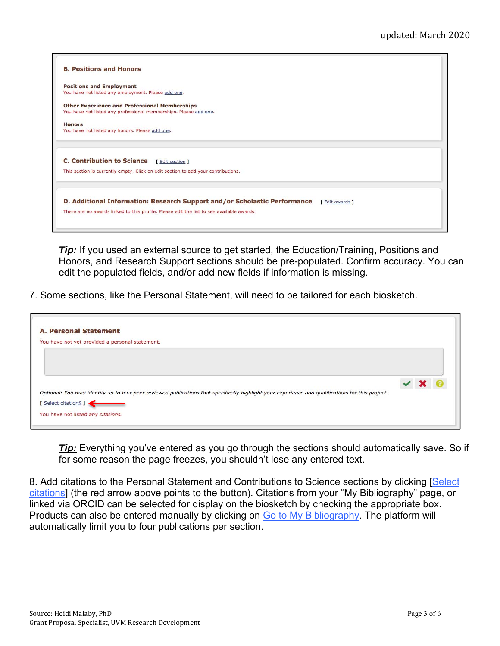

*Tip:* If you used an external source to get started, the Education/Training, Positions and Honors, and Research Support sections should be pre-populated. Confirm accuracy. You can edit the populated fields, and/or add new fields if information is missing.

7. Some sections, like the Personal Statement, will need to be tailored for each biosketch.

| <b>A. Personal Statement</b>                                                                                                                      |  |  |
|---------------------------------------------------------------------------------------------------------------------------------------------------|--|--|
| You have not yet provided a personal statement.                                                                                                   |  |  |
|                                                                                                                                                   |  |  |
|                                                                                                                                                   |  |  |
|                                                                                                                                                   |  |  |
|                                                                                                                                                   |  |  |
| Optional: You may identify up to four peer reviewed publications that specifically highlight your experience and qualifications for this project. |  |  |
| Select citations ]                                                                                                                                |  |  |
|                                                                                                                                                   |  |  |
| You have not listed any citations.                                                                                                                |  |  |

**Tip:** Everything you've entered as you go through the sections should automatically save. So if for some reason the page freezes, you shouldn't lose any entered text.

8. Add citations to the Personal Statement and Contributions to Science sections by clicking [Select] citations] (the red arrow above points to the button). Citations from your "My Bibliography" page, or linked via ORCID can be selected for display on the biosketch by checking the appropriate box. Products can also be entered manually by clicking on Go to My Bibliography. The platform will automatically limit you to four publications per section.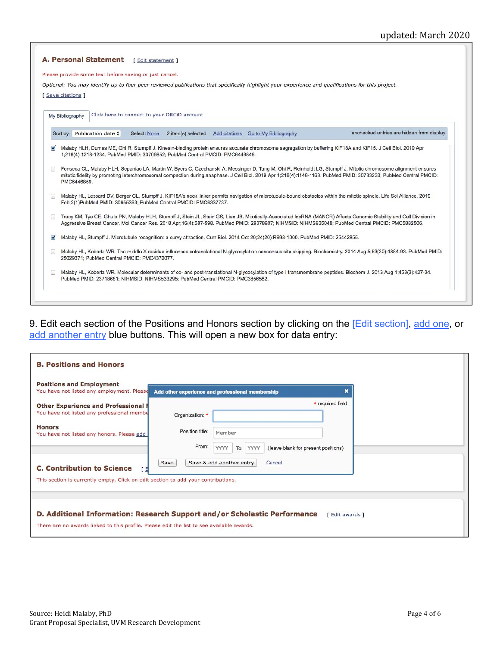## updated: March 2020

|       | Please provide some text before saving or just cancel.                                                                                                                                                                                                                                                                                              |
|-------|-----------------------------------------------------------------------------------------------------------------------------------------------------------------------------------------------------------------------------------------------------------------------------------------------------------------------------------------------------|
|       | Optional: You may identify up to four peer reviewed publications that specifically highlight your experience and qualifications for this project.                                                                                                                                                                                                   |
|       | [ Save citations ]                                                                                                                                                                                                                                                                                                                                  |
|       |                                                                                                                                                                                                                                                                                                                                                     |
|       | Click here to connect to your ORCID account<br>My Bibliography                                                                                                                                                                                                                                                                                      |
|       | unchecked entries are hidden from display<br>Sort by: Publication date $\div$<br>Select: None<br>2 item(s) selected<br>Add citations Go to My Bibliography                                                                                                                                                                                          |
|       | 1;218(4):1218-1234. PubMed PMID: 30709852; PubMed Central PMCID: PMC6446846.                                                                                                                                                                                                                                                                        |
|       | Fonseca CL, Malaby HLH, Sepaniac LA, Martin W, Byers C, Czechanski A, Messinger D, Tang M, Ohi R, Reinholdt LG, Stumpff J. Mitotic chromosome alignment ensures<br>mitotic fidelity by promoting interchromosomal compaction during anaphase. J Cell Biol. 2019 Apr 1;218(4):1148-1163. PubMed PMID: 30733233; PubMed Central PMCID:<br>PMC6446859. |
| $5 +$ | Malaby HL, Lessard DV, Berger CL, Stumpff J. KIF18A's neck linker permits navigation of microtubule-bound obstacles within the mitotic spindle. Life Sci Alliance. 2019<br>Feb;2(1)PubMed PMID: 30655363; PubMed Central PMCID: PMC6337737.                                                                                                         |
|       | Tracy KM, Tye CE, Ghule PN, Malaby HLH, Stumpff J, Stein JL, Stein GS, Lian JB. Mitotically-Associated IncRNA (MANCR) Affects Genomic Stability and Cell Division in<br>Aggressive Breast Cancer. Mol Cancer Res. 2018 Apr;16(4):587-598. PubMed PMID: 29378907; NIHMSID: NIHMS935048; PubMed Central PMCID: PMC5882506.                            |
|       | Malaby HL, Stumpff J. Microtubule recognition: a curvy attraction. Curr Biol. 2014 Oct 20;24(20):R998-1000. PubMed PMID: 25442855.                                                                                                                                                                                                                  |
|       | Malaby HL, Kobertz WR. The middle X residue influences cotranslational N-glycosylation consensus site skipping. Biochemistry, 2014 Aug 5;53(30):4884-93. PubMed PMID:<br>25029371; PubMed Central PMCID: PMC4372077.                                                                                                                                |

9. Edit each section of the Positions and Honors section by clicking on the [Edit section], <u>add one</u>, or add another entry blue buttons. This will open a new box for data entry:

| <b>Positions and Employment</b><br>You have not listed any employment. Please     | Add other experience and professional membership | ×                                                          |  |
|-----------------------------------------------------------------------------------|--------------------------------------------------|------------------------------------------------------------|--|
| <b>Other Experience and Professional I</b>                                        |                                                  | * required field                                           |  |
| You have not listed any professional membe                                        | Organization: *                                  |                                                            |  |
| <b>Honors</b><br>You have not listed any honors. Please add                       | Position title:                                  | Member                                                     |  |
|                                                                                   | From:                                            | YYYY<br>YYYY<br>(leave blank for present positions)<br>To: |  |
| <b>C. Contribution to Science</b><br>ΓEΙ                                          | Save                                             | Save & add another entry<br>Cancel                         |  |
| This section is currently empty. Click on edit section to add your contributions. |                                                  |                                                            |  |
|                                                                                   |                                                  |                                                            |  |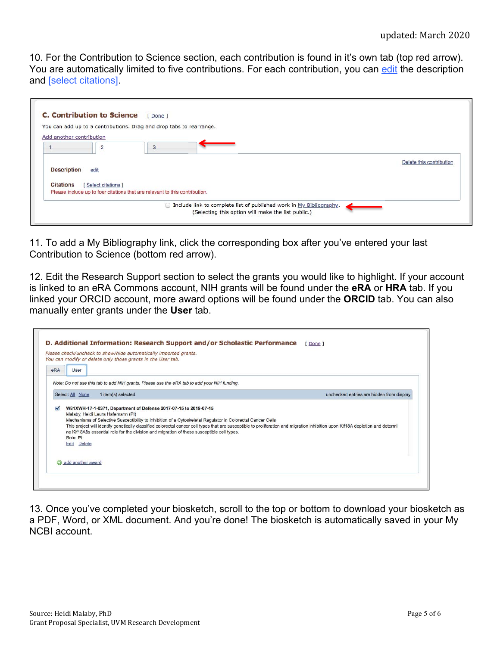10. For the Contribution to Science section, each contribution is found in it's own tab (top red arrow). You are automatically limited to five contributions. For each contribution, you can edit the description and [select citations].

|                          | <b>C. Contribution to Science</b> | [Done]                                                                      |                                                                     |                          |
|--------------------------|-----------------------------------|-----------------------------------------------------------------------------|---------------------------------------------------------------------|--------------------------|
|                          |                                   | You can add up to 5 contributions. Drag and drop tabs to rearrange.         |                                                                     |                          |
| Add another contribution |                                   |                                                                             |                                                                     |                          |
|                          |                                   |                                                                             |                                                                     |                          |
|                          | $\overline{2}$                    | 3                                                                           |                                                                     |                          |
|                          |                                   |                                                                             |                                                                     | Delete this contribution |
| <b>Description</b>       | edit                              |                                                                             |                                                                     |                          |
|                          |                                   |                                                                             |                                                                     |                          |
| <b>Citations</b>         | [Select citations]                |                                                                             |                                                                     |                          |
|                          |                                   | Please include up to four citations that are relevant to this contribution. |                                                                     |                          |
|                          |                                   |                                                                             | Include link to complete list of published work in My Bibliography. |                          |
|                          |                                   |                                                                             | (Selecting this option will make the list public.)                  |                          |
|                          |                                   |                                                                             |                                                                     |                          |

11. To add a My Bibliography link, click the corresponding box after you've entered your last Contribution to Science (bottom red arrow).

12. Edit the Research Support section to select the grants you would like to highlight. If your account is linked to an eRA Commons account, NIH grants will be found under the **eRA** or **HRA** tab. If you linked your ORCID account, more award options will be found under the **ORCID** tab. You can also manually enter grants under the **User** tab.

|     |                         | Please check/uncheck to show/hide automatically imported grants.<br>You can modify or delete only those grants in the User tab. |                                                                                                                                                                                                           |                                                                                                                                                                                 |
|-----|-------------------------|---------------------------------------------------------------------------------------------------------------------------------|-----------------------------------------------------------------------------------------------------------------------------------------------------------------------------------------------------------|---------------------------------------------------------------------------------------------------------------------------------------------------------------------------------|
| eRA | User                    |                                                                                                                                 |                                                                                                                                                                                                           |                                                                                                                                                                                 |
|     |                         |                                                                                                                                 | Note: Do not use this tab to add NIH grants. Please use the eRA tab to add your NIH funding.                                                                                                              |                                                                                                                                                                                 |
|     | Select: All None        | 1 item(s) selected                                                                                                              |                                                                                                                                                                                                           | unchecked entries are hidden from display                                                                                                                                       |
|     | Role: PI<br>Edit Delete | Malaby, Heidi Laura Hafemann (PI)                                                                                               | Mechanisms of Selective Susceptibility to Inhibition of a Cytoskeletal Regulator in Colorectal Cancer Cells<br>ne Kif18Aâs essential role for the division and migration of these susceptible cell types. | This project will identify genetically classified colorectal cancer cell types that are susceptible to proliferation and migration inhibition upon Kif18A depletion and determi |
|     |                         | add another award                                                                                                               |                                                                                                                                                                                                           |                                                                                                                                                                                 |

13. Once you've completed your biosketch, scroll to the top or bottom to download your biosketch as a PDF, Word, or XML document. And you're done! The biosketch is automatically saved in your My NCBI account.